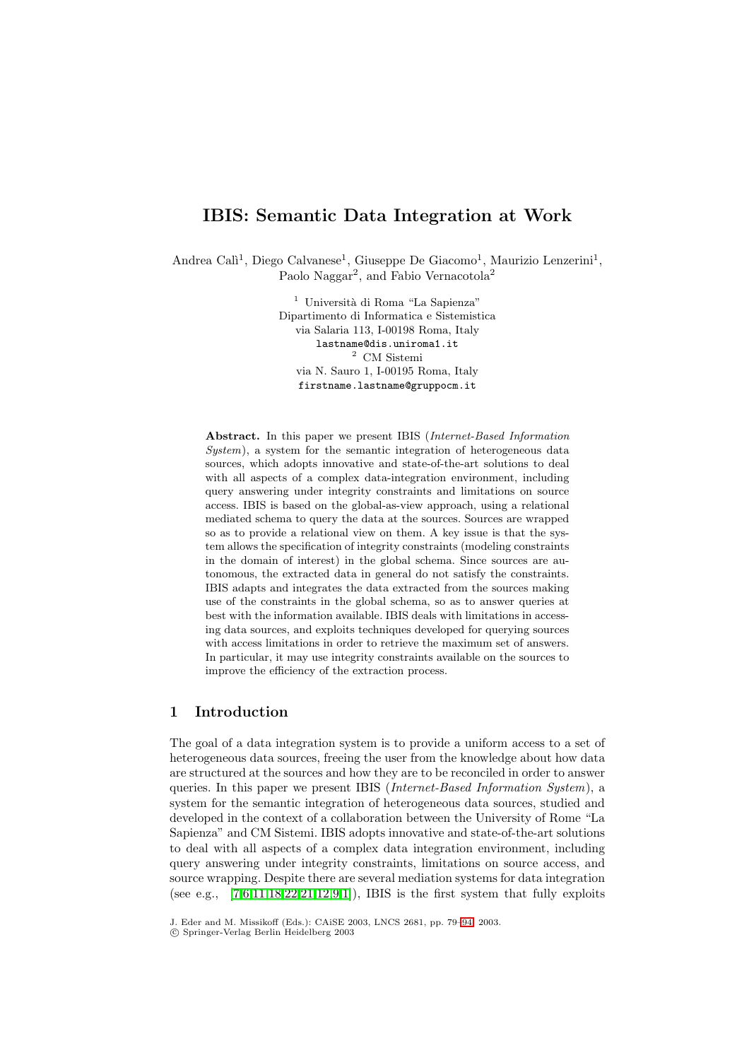# **IBIS: Semantic Data Integration at Work**

Andrea Calì<sup>1</sup>, Diego Calvanese<sup>1</sup>, Giuseppe De Giacomo<sup>1</sup>, Maurizio Lenzerini<sup>1</sup>, Paolo Naggar<sup>2</sup>, and Fabio Vernacotola<sup>2</sup>

> <sup>1</sup> Università di Roma "La Sapienza" Dipartimento di Informatica e Sistemistica via Salaria 113, I-00198 Roma, Italy lastname@dis.uniroma1.it <sup>2</sup> CM Sistemi via N. Sauro 1, I-00195 Roma, Italy firstname.lastname@gruppocm.it

**Abstract.** In this paper we present IBIS (Internet-Based Information System), a system for the semantic integration of heterogeneous data sources, which adopts innovative and state-of-the-art solutions to deal with all aspects of a complex data-integration environment, including query answering under integrity constraints and limitations on source access. IBIS is based on the global-as-view approach, using a relational mediated schema to query the data at the sources. Sources are wrapped so as to provide a relational view on them. A key issue is that the system allows the specification of integrity constraints (modeling constraints in the domain of interest) in the global schema. Since sources are autonomous, the extracted data in general do not satisfy the constraints. IBIS adapts and integrates the data extracted from the sources making use of the constraints in the global schema, so as to answer queries at best with the information available. IBIS deals with limitations in accessing data sources, and exploits techniques developed for querying sources with access limitations in order to retrieve the maximum set of answers. In particular, it may use integrity constraints available on the sources to improve the efficiency of the extraction process.

### **1 Introduction**

The goal of a data integration system is to provide a uniform access to a set of heterogeneous data sources, freeing the user from the knowledge about how data are structured at the sources and how they are to be reconciled in order to answer queries. In this paper we present IBIS (*Internet-Based Information System*), a system for the semantic integration of heterogeneous data sources, studied and developed in the context of a collaboration between the University of Rome "La Sapienza" and CM Sistemi. IBIS adopts innovative and state-of-the-art solutions to deal with all aspects of a complex data integration environment, including query answering under integrity constraints, limitations on source access, and source wrapping. Despite there are several mediation systems for data integration (see e.g.,  $[7,6,11,18,22,21,12,9,1]$  $[7,6,11,18,22,21,12,9,1]$  $[7,6,11,18,22,21,12,9,1]$ ), IBIS is the first system that fully exploits

J. Eder and M. Missikoff (Eds.): CAiSE 2003, LNCS 2681, pp. 79[–94,](#page-14-0) 2003.

c Springer-Verlag Berlin Heidelberg 2003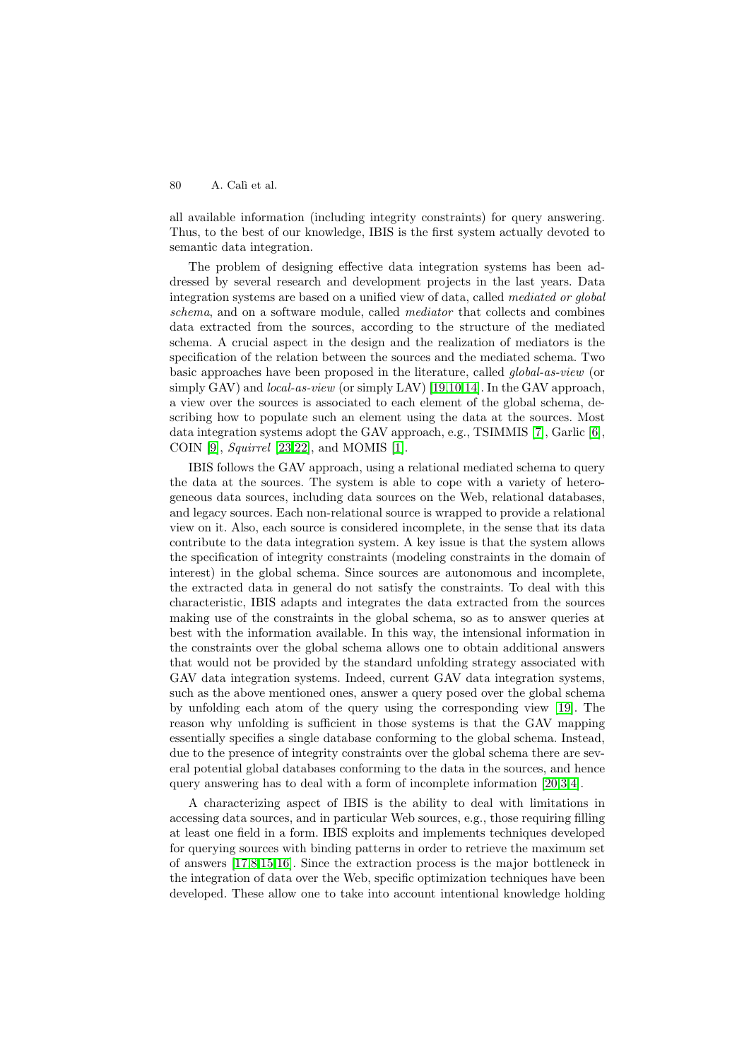all available information (including integrity constraints) for query answering. Thus, to the best of our knowledge, IBIS is the first system actually devoted to semantic data integration.

The problem of designing effective data integration systems has been addressed by several research and development projects in the last years. Data integration systems are based on a unified view of data, called *mediated or global schema*, and on a software module, called *mediator* that collects and combines data extracted from the sources, according to the structure of the mediated schema. A crucial aspect in the design and the realization of mediators is the specification of the relation between the sources and the mediated schema. Two basic approaches have been proposed in the literature, called *global-as-view* (or simply GAV) and *local-as-view* (or simply LAV) [\[19](#page-15-0)[,10](#page-14-0)[,14\]](#page-15-0). In the GAV approach, a view over the sources is associated to each element of the global schema, describing how to populate such an element using the data at the sources. Most data integration systems adopt the GAV approach, e.g., TSIMMIS [\[7\]](#page-14-0), Garlic [\[6\]](#page-14-0), COIN [\[9\]](#page-14-0), *Squirrel* [\[23,22\]](#page-15-0), and MOMIS [\[1\]](#page-14-0).

IBIS follows the GAV approach, using a relational mediated schema to query the data at the sources. The system is able to cope with a variety of heterogeneous data sources, including data sources on the Web, relational databases, and legacy sources. Each non-relational source is wrapped to provide a relational view on it. Also, each source is considered incomplete, in the sense that its data contribute to the data integration system. A key issue is that the system allows the specification of integrity constraints (modeling constraints in the domain of interest) in the global schema. Since sources are autonomous and incomplete, the extracted data in general do not satisfy the constraints. To deal with this characteristic, IBIS adapts and integrates the data extracted from the sources making use of the constraints in the global schema, so as to answer queries at best with the information available. In this way, the intensional information in the constraints over the global schema allows one to obtain additional answers that would not be provided by the standard unfolding strategy associated with GAV data integration systems. Indeed, current GAV data integration systems, such as the above mentioned ones, answer a query posed over the global schema by unfolding each atom of the query using the corresponding view [\[19\]](#page-15-0). The reason why unfolding is sufficient in those systems is that the GAV mapping essentially specifies a single database conforming to the global schema. Instead, due to the presence of integrity constraints over the global schema there are several potential global databases conforming to the data in the sources, and hence query answering has to deal with a form of incomplete information [\[20](#page-15-0)[,3,4\]](#page-14-0).

A characterizing aspect of IBIS is the ability to deal with limitations in accessing data sources, and in particular Web sources, e.g., those requiring filling at least one field in a form. IBIS exploits and implements techniques developed for querying sources with binding patterns in order to retrieve the maximum set of answers [\[17,](#page-15-0)[8](#page-14-0)[,15,16\]](#page-15-0). Since the extraction process is the major bottleneck in the integration of data over the Web, specific optimization techniques have been developed. These allow one to take into account intentional knowledge holding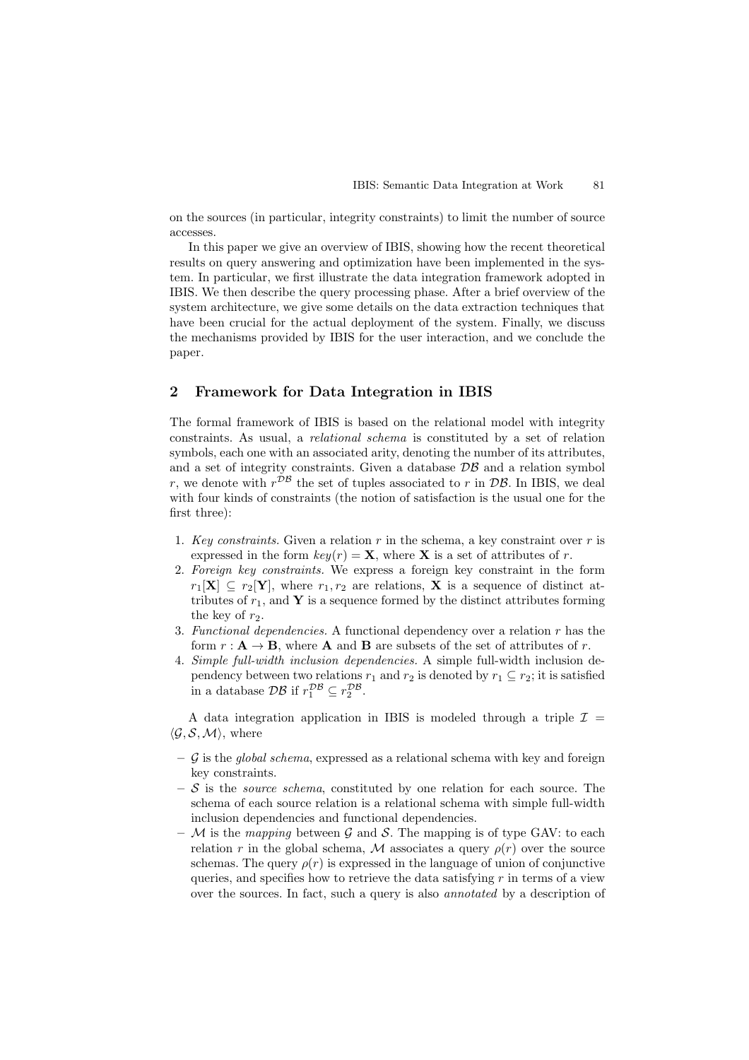on the sources (in particular, integrity constraints) to limit the number of source accesses.

In this paper we give an overview of IBIS, showing how the recent theoretical results on query answering and optimization have been implemented in the system. In particular, we first illustrate the data integration framework adopted in IBIS. We then describe the query processing phase. After a brief overview of the system architecture, we give some details on the data extraction techniques that have been crucial for the actual deployment of the system. Finally, we discuss the mechanisms provided by IBIS for the user interaction, and we conclude the paper.

#### **2 Framework for Data Integration in IBIS**

The formal framework of IBIS is based on the relational model with integrity constraints. As usual, a *relational schema* is constituted by a set of relation symbols, each one with an associated arity, denoting the number of its attributes, and a set of integrity constraints. Given a database  $\mathcal{DB}$  and a relation symbol r, we denote with  $r^{DB}$  the set of tuples associated to r in DB. In IBIS, we deal with four kinds of constraints (the notion of satisfaction is the usual one for the first three):

- 1. *Key constraints.* Given a relation r in the schema, a key constraint over r is expressed in the form  $key(r) = \mathbf{X}$ , where  $\mathbf{X}$  is a set of attributes of r.
- 2. *Foreign key constraints.* We express a foreign key constraint in the form  $r_1[X] \subseteq r_2[Y]$ , where  $r_1, r_2$  are relations, **X** is a sequence of distinct attributes of  $r_1$ , and **Y** is a sequence formed by the distinct attributes forming the key of  $r_2$ .
- 3. *Functional dependencies.* A functional dependency over a relation r has the form  $r : \mathbf{A} \to \mathbf{B}$ , where **A** and **B** are subsets of the set of attributes of r.
- 4. *Simple full-width inclusion dependencies.* A simple full-width inclusion dependency between two relations  $r_1$  and  $r_2$  is denoted by  $r_1 \subseteq r_2$ ; it is satisfied in a database  $\mathcal{DB}$  if  $r_1^{\mathcal{DB}} \subseteq r_2^{\mathcal{DB}}$ .

A data integration application in IBIS is modeled through a triple  $\mathcal{I} =$  $\langle \mathcal{G}, \mathcal{S}, \mathcal{M} \rangle$ , where

- **–** <sup>G</sup> is the *global schema*, expressed as a relational schema with key and foreign key constraints.
- **–** <sup>S</sup> is the *source schema*, constituted by one relation for each source. The schema of each source relation is a relational schema with simple full-width inclusion dependencies and functional dependencies.
- $-$  *M* is the *mapping* between G and S. The mapping is of type GAV: to each relation r in the global schema, M associates a query  $\rho(r)$  over the source schemas. The query  $\rho(r)$  is expressed in the language of union of conjunctive queries, and specifies how to retrieve the data satisfying  $r$  in terms of a view over the sources. In fact, such a query is also *annotated* by a description of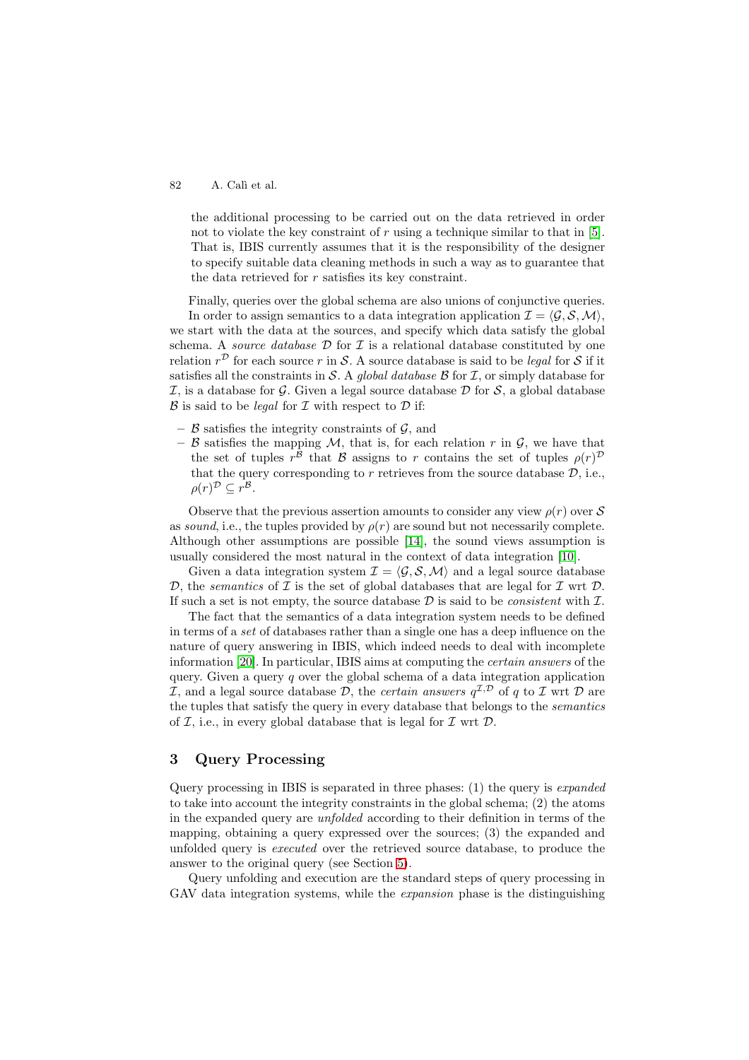<span id="page-3-0"></span>the additional processing to be carried out on the data retrieved in order not to violate the key constraint of  $r$  using a technique similar to that in [\[5\]](#page-14-0). That is, IBIS currently assumes that it is the responsibility of the designer to specify suitable data cleaning methods in such a way as to guarantee that the data retrieved for r satisfies its key constraint.

Finally, queries over the global schema are also unions of conjunctive queries. In order to assign semantics to a data integration application  $\mathcal{I} = \langle \mathcal{G}, \mathcal{S}, \mathcal{M} \rangle$ , we start with the data at the sources, and specify which data satisfy the global schema. A *source database*  $D$  for  $I$  is a relational database constituted by one relation  $r^{\mathcal{D}}$  for each source r in S. A source database is said to be *legal* for S if it satisfies all the constraints in S. A *global database* B for I, or simply database for I, is a database for G. Given a legal source database  $\mathcal D$  for S, a global database  $\beta$  is said to be *legal* for  $\mathcal I$  with respect to  $\mathcal D$  if:

- 
- B satisfies the integrity constraints of G, and<br>- B satisfies the mapping  $M$ , that is, for each relation r in G, we have that  $-$  B satisfies the mapping M, that is, for each relation r in G, we have that the set of tuples  $r^B$  that B assigns to r contains the set of tuples  $\rho(r)^D$ that the query corresponding to  $r$  retrieves from the source database  $\mathcal{D}$ , i.e.,  $\rho(r)^{\mathcal{D}} \subset r^{\mathcal{B}}$ .

Observe that the previous assertion amounts to consider any view  $\rho(r)$  over S as *sound*, i.e., the tuples provided by  $\rho(r)$  are sound but not necessarily complete. Although other assumptions are possible [\[14\]](#page-15-0), the sound views assumption is usually considered the most natural in the context of data integration [\[10\]](#page-14-0).

Given a data integration system  $\mathcal{I} = \langle \mathcal{G}, \mathcal{S}, \mathcal{M} \rangle$  and a legal source database D, the *semantics* of  $\mathcal I$  is the set of global databases that are legal for  $\mathcal I$  wrt  $\mathcal D$ . If such a set is not empty, the source database  $\mathcal D$  is said to be *consistent* with  $\mathcal I$ .

The fact that the semantics of a data integration system needs to be defined in terms of a *set* of databases rather than a single one has a deep influence on the nature of query answering in IBIS, which indeed needs to deal with incomplete information [\[20\]](#page-15-0). In particular, IBIS aims at computing the *certain answers* of the query. Given a query  $q$  over the global schema of a data integration application I, and a legal source database D, the *certain answers*  $q^{\mathcal{I}, \mathcal{D}}$  of q to I wrt D are the tuples that satisfy the query in every database that belongs to the *semantics* of  $I$ , i.e., in every global database that is legal for  $I$  wrt  $D$ .

### **3 Query Processing**

Query processing in IBIS is separated in three phases: (1) the query is *expanded* to take into account the integrity constraints in the global schema; (2) the atoms in the expanded query are *unfolded* according to their definition in terms of the mapping, obtaining a query expressed over the sources; (3) the expanded and unfolded query is *executed* over the retrieved source database, to produce the answer to the original query (see Section [5\)](#page-6-0).

Query unfolding and execution are the standard steps of query processing in GAV data integration systems, while the *expansion* phase is the distinguishing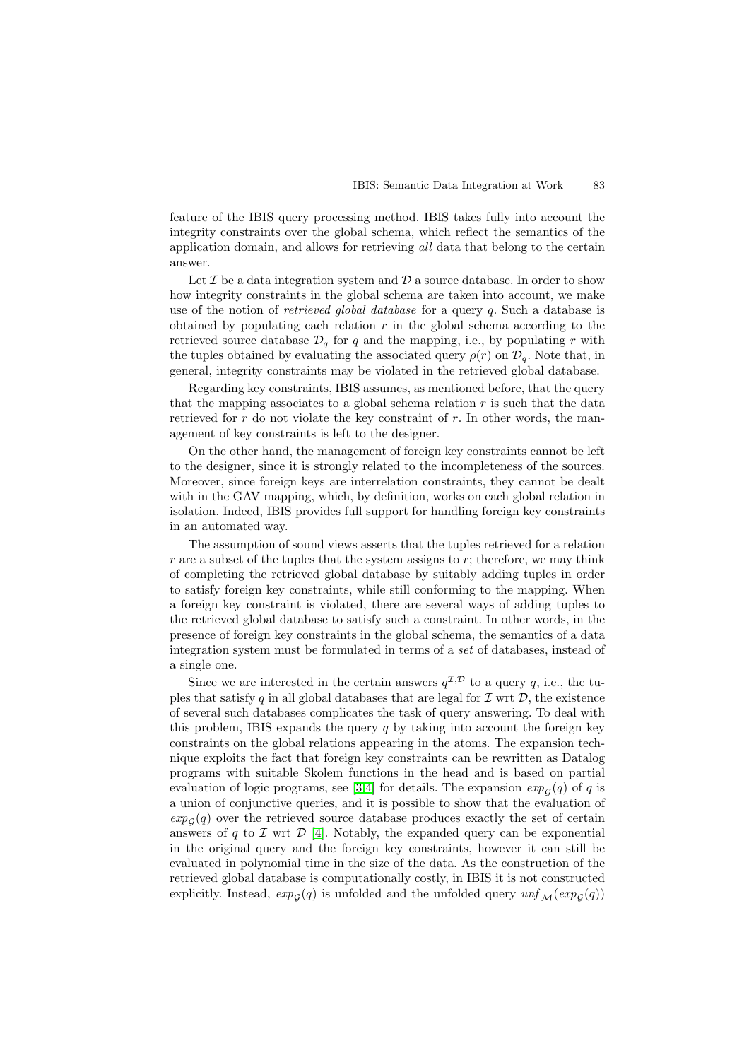feature of the IBIS query processing method. IBIS takes fully into account the integrity constraints over the global schema, which reflect the semantics of the application domain, and allows for retrieving *all* data that belong to the certain answer.

Let  $\mathcal I$  be a data integration system and  $\mathcal D$  a source database. In order to show how integrity constraints in the global schema are taken into account, we make use of the notion of *retrieved global database* for a query q. Such a database is obtained by populating each relation  $r$  in the global schema according to the retrieved source database  $\mathcal{D}_q$  for q and the mapping, i.e., by populating r with the tuples obtained by evaluating the associated query  $\rho(r)$  on  $\mathcal{D}_q$ . Note that, in general, integrity constraints may be violated in the retrieved global database.

Regarding key constraints, IBIS assumes, as mentioned before, that the query that the mapping associates to a global schema relation  $r$  is such that the data retrieved for r do not violate the key constraint of r. In other words, the management of key constraints is left to the designer.

On the other hand, the management of foreign key constraints cannot be left to the designer, since it is strongly related to the incompleteness of the sources. Moreover, since foreign keys are interrelation constraints, they cannot be dealt with in the GAV mapping, which, by definition, works on each global relation in isolation. Indeed, IBIS provides full support for handling foreign key constraints in an automated way.

The assumption of sound views asserts that the tuples retrieved for a relation  $r$  are a subset of the tuples that the system assigns to  $r$ ; therefore, we may think of completing the retrieved global database by suitably adding tuples in order to satisfy foreign key constraints, while still conforming to the mapping. When a foreign key constraint is violated, there are several ways of adding tuples to the retrieved global database to satisfy such a constraint. In other words, in the presence of foreign key constraints in the global schema, the semantics of a data integration system must be formulated in terms of a *set* of databases, instead of a single one.

Since we are interested in the certain answers  $q^{L,D}$  to a query q, i.e., the tuples that satisfy q in all global databases that are legal for  $\mathcal I$  wrt  $\mathcal D$ , the existence of several such databases complicates the task of query answering. To deal with this problem, IBIS expands the query  $q$  by taking into account the foreign key constraints on the global relations appearing in the atoms. The expansion technique exploits the fact that foreign key constraints can be rewritten as Datalog programs with suitable Skolem functions in the head and is based on partial evaluation of logic programs, see [\[3,4\]](#page-14-0) for details. The expansion  $exp_G(q)$  of q is a union of conjunctive queries, and it is possible to show that the evaluation of  $exp_G(q)$  over the retrieved source database produces exactly the set of certain answers of q to  $\mathcal I$  wrt  $\mathcal D$  [\[4\]](#page-14-0). Notably, the expanded query can be exponential in the original query and the foreign key constraints, however it can still be evaluated in polynomial time in the size of the data. As the construction of the retrieved global database is computationally costly, in IBIS it is not constructed explicitly. Instead,  $exp_G(q)$  is unfolded and the unfolded query  $unf_M(exp_G(q))$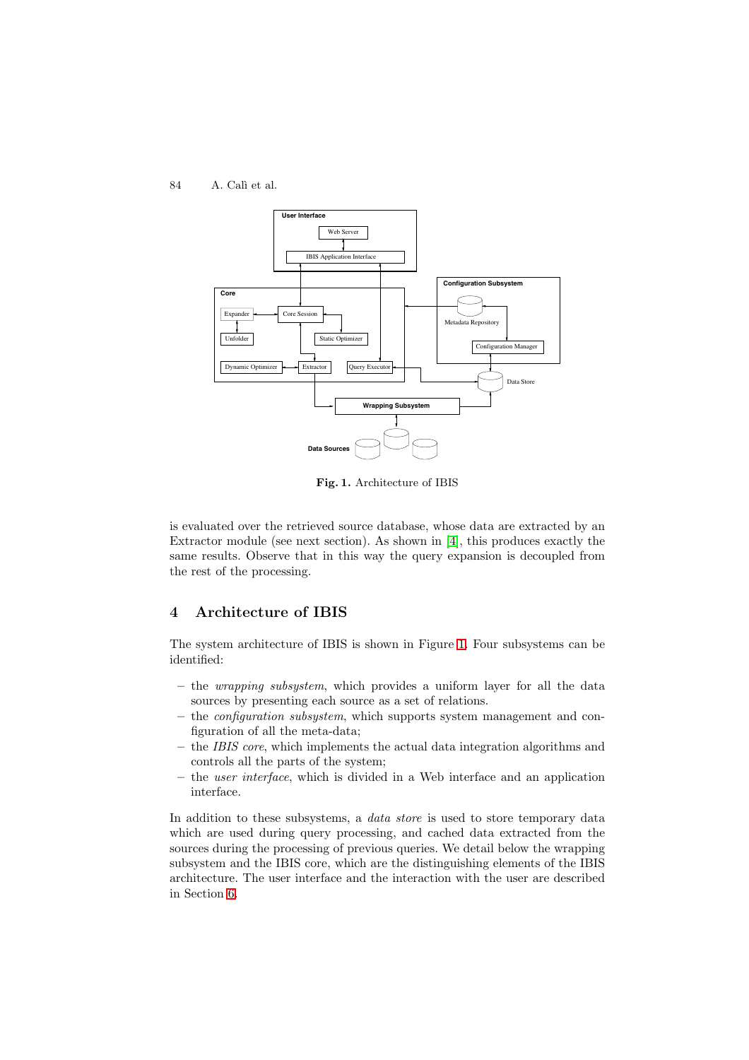

**Fig. 1.** Architecture of IBIS

is evaluated over the retrieved source database, whose data are extracted by an Extractor module (see next section). As shown in [\[4\]](#page-14-0), this produces exactly the same results. Observe that in this way the query expansion is decoupled from the rest of the processing.

# **4 Architecture of IBIS**

The system architecture of IBIS is shown in Figure 1. Four subsystems can be identified:

- **–** the *wrapping subsystem*, which provides a uniform layer for all the data sources by presenting each source as a set of relations.
- **–** the *configuration subsystem*, which supports system management and configuration of all the meta-data;
- **–** the *IBIS core*, which implements the actual data integration algorithms and controls all the parts of the system;
- **–** the *user interface*, which is divided in a Web interface and an application interface.

In addition to these subsystems, a *data store* is used to store temporary data which are used during query processing, and cached data extracted from the sources during the processing of previous queries. We detail below the wrapping subsystem and the IBIS core, which are the distinguishing elements of the IBIS architecture. The user interface and the interaction with the user are described in Section [6.](#page-11-0)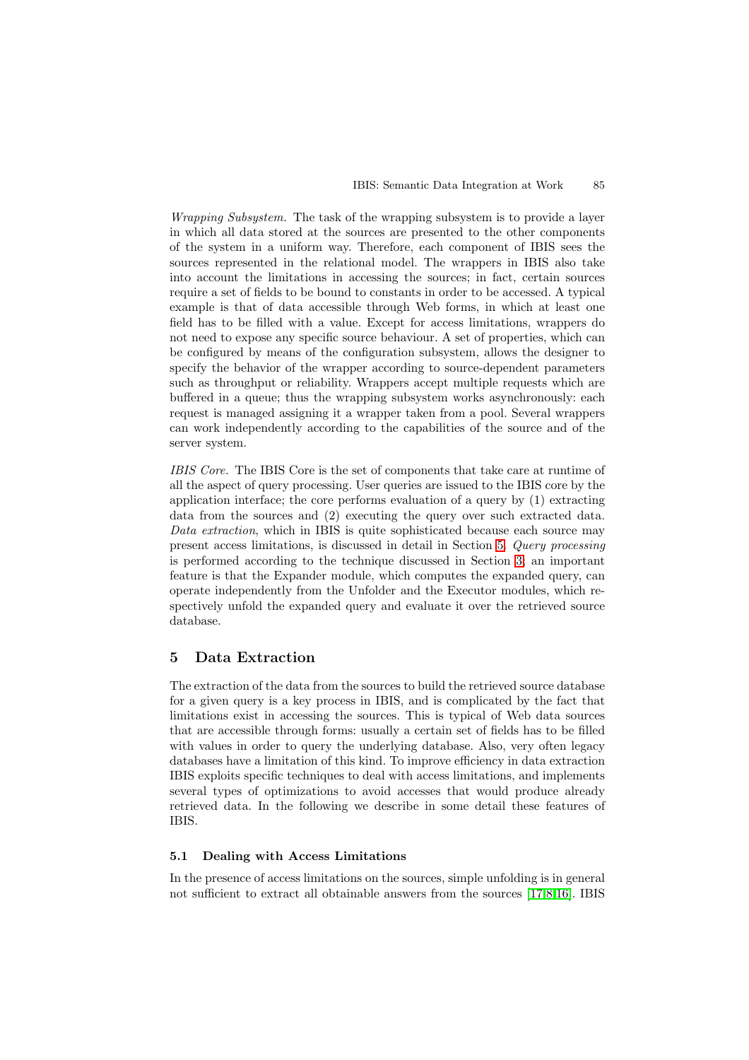<span id="page-6-0"></span>*Wrapping Subsystem.* The task of the wrapping subsystem is to provide a layer in which all data stored at the sources are presented to the other components of the system in a uniform way. Therefore, each component of IBIS sees the sources represented in the relational model. The wrappers in IBIS also take into account the limitations in accessing the sources; in fact, certain sources require a set of fields to be bound to constants in order to be accessed. A typical example is that of data accessible through Web forms, in which at least one field has to be filled with a value. Except for access limitations, wrappers do not need to expose any specific source behaviour. A set of properties, which can be configured by means of the configuration subsystem, allows the designer to specify the behavior of the wrapper according to source-dependent parameters such as throughput or reliability. Wrappers accept multiple requests which are buffered in a queue; thus the wrapping subsystem works asynchronously: each request is managed assigning it a wrapper taken from a pool. Several wrappers can work independently according to the capabilities of the source and of the server system.

*IBIS Core.* The IBIS Core is the set of components that take care at runtime of all the aspect of query processing. User queries are issued to the IBIS core by the application interface; the core performs evaluation of a query by (1) extracting data from the sources and (2) executing the query over such extracted data. *Data extraction*, which in IBIS is quite sophisticated because each source may present access limitations, is discussed in detail in Section 5. *Query processing* is performed according to the technique discussed in Section [3;](#page-3-0) an important feature is that the Expander module, which computes the expanded query, can operate independently from the Unfolder and the Executor modules, which respectively unfold the expanded query and evaluate it over the retrieved source database.

### **5 Data Extraction**

The extraction of the data from the sources to build the retrieved source database for a given query is a key process in IBIS, and is complicated by the fact that limitations exist in accessing the sources. This is typical of Web data sources that are accessible through forms: usually a certain set of fields has to be filled with values in order to query the underlying database. Also, very often legacy databases have a limitation of this kind. To improve efficiency in data extraction IBIS exploits specific techniques to deal with access limitations, and implements several types of optimizations to avoid accesses that would produce already retrieved data. In the following we describe in some detail these features of IBIS.

#### **5.1 Dealing with Access Limitations**

In the presence of access limitations on the sources, simple unfolding is in general not sufficient to extract all obtainable answers from the sources [\[17](#page-15-0)[,8,](#page-14-0)[16\]](#page-15-0). IBIS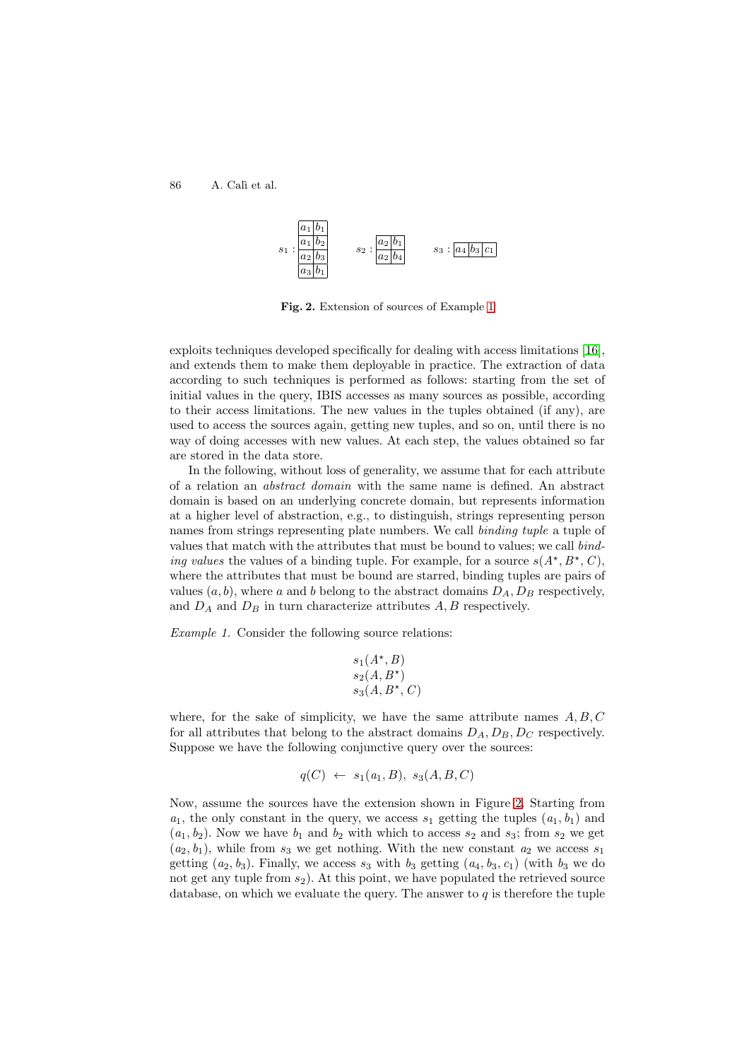$$
s_1: \frac{\overline{a_1 b_1}}{\overline{a_2 b_3}}\qquad s_2: \frac{\overline{a_2 b_1}}{\overline{a_2 b_4}}\qquad s_3: \overline{\overline{a_4 b_3 c_1}}
$$

**Fig. 2.** Extension of sources of Example 1

exploits techniques developed specifically for dealing with access limitations [\[16\]](#page-15-0), and extends them to make them deployable in practice. The extraction of data according to such techniques is performed as follows: starting from the set of initial values in the query, IBIS accesses as many sources as possible, according to their access limitations. The new values in the tuples obtained (if any), are used to access the sources again, getting new tuples, and so on, until there is no way of doing accesses with new values. At each step, the values obtained so far are stored in the data store.

In the following, without loss of generality, we assume that for each attribute of a relation an *abstract domain* with the same name is defined. An abstract domain is based on an underlying concrete domain, but represents information at a higher level of abstraction, e.g., to distinguish, strings representing person names from strings representing plate numbers. We call *binding tuple* a tuple of values that match with the attributes that must be bound to values; we call *binding values* the values of a binding tuple. For example, for a source  $s(A^*, B^*, C)$ , where the attributes that must be bound are starred, binding tuples are pairs of values  $(a, b)$ , where a and b belong to the abstract domains  $D_A$ ,  $D_B$  respectively, and  $D_A$  and  $D_B$  in turn characterize attributes  $A, B$  respectively.

*Example 1.* Consider the following source relations:

$$
s_1(A^*, B)
$$
  
\n
$$
s_2(A, B^*)
$$
  
\n
$$
s_3(A, B^*, C)
$$

where, for the sake of simplicity, we have the same attribute names  $A, B, C$ for all attributes that belong to the abstract domains  $D_A$ ,  $D_B$ ,  $D_C$  respectively. Suppose we have the following conjunctive query over the sources:

$$
q(C) \leftarrow s_1(a_1, B), s_3(A, B, C)
$$

Now, assume the sources have the extension shown in Figure 2. Starting from  $a_1$ , the only constant in the query, we access  $s_1$  getting the tuples  $(a_1, b_1)$  and  $(a_1, b_2)$ . Now we have  $b_1$  and  $b_2$  with which to access  $s_2$  and  $s_3$ ; from  $s_2$  we get  $(a_2, b_1)$ , while from  $s_3$  we get nothing. With the new constant  $a_2$  we access  $s_1$ getting  $(a_2, b_3)$ . Finally, we access  $s_3$  with  $b_3$  getting  $(a_4, b_3, c_1)$  (with  $b_3$  we do not get any tuple from  $s_2$ ). At this point, we have populated the retrieved source database, on which we evaluate the query. The answer to  $q$  is therefore the tuple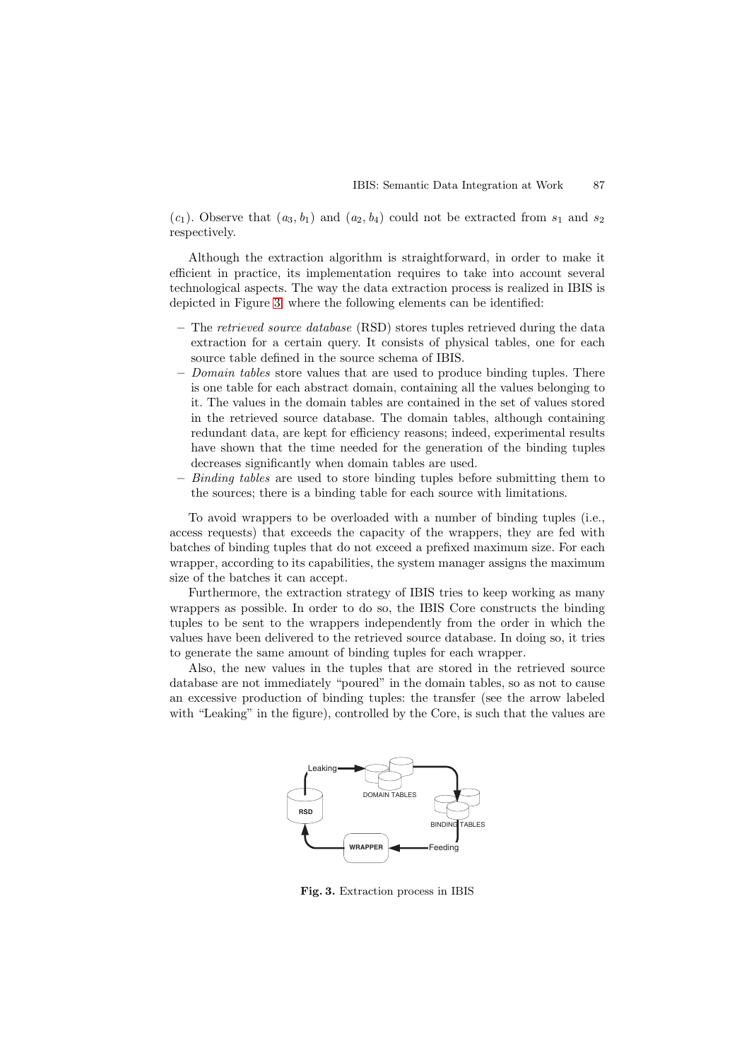$(c_1)$ . Observe that  $(a_3, b_1)$  and  $(a_2, b_4)$  could not be extracted from  $s_1$  and  $s_2$ respectively.

Although the extraction algorithm is straightforward, in order to make it efficient in practice, its implementation requires to take into account several technological aspects. The way the data extraction process is realized in IBIS is depicted in Figure 3, where the following elements can be identified:

- **–** The *retrieved source database* (RSD) stores tuples retrieved during the data extraction for a certain query. It consists of physical tables, one for each source table defined in the source schema of IBIS.
- **–** *Domain tables* store values that are used to produce binding tuples. There is one table for each abstract domain, containing all the values belonging to it. The values in the domain tables are contained in the set of values stored in the retrieved source database. The domain tables, although containing redundant data, are kept for efficiency reasons; indeed, experimental results have shown that the time needed for the generation of the binding tuples decreases significantly when domain tables are used.
- **–** *Binding tables* are used to store binding tuples before submitting them to the sources; there is a binding table for each source with limitations.

To avoid wrappers to be overloaded with a number of binding tuples (i.e., access requests) that exceeds the capacity of the wrappers, they are fed with batches of binding tuples that do not exceed a prefixed maximum size. For each wrapper, according to its capabilities, the system manager assigns the maximum size of the batches it can accept.

Furthermore, the extraction strategy of IBIS tries to keep working as many wrappers as possible. In order to do so, the IBIS Core constructs the binding tuples to be sent to the wrappers independently from the order in which the values have been delivered to the retrieved source database. In doing so, it tries to generate the same amount of binding tuples for each wrapper.

Also, the new values in the tuples that are stored in the retrieved source database are not immediately "poured" in the domain tables, so as not to cause an excessive production of binding tuples: the transfer (see the arrow labeled with "Leaking" in the figure), controlled by the Core, is such that the values are



**Fig. 3.** Extraction process in IBIS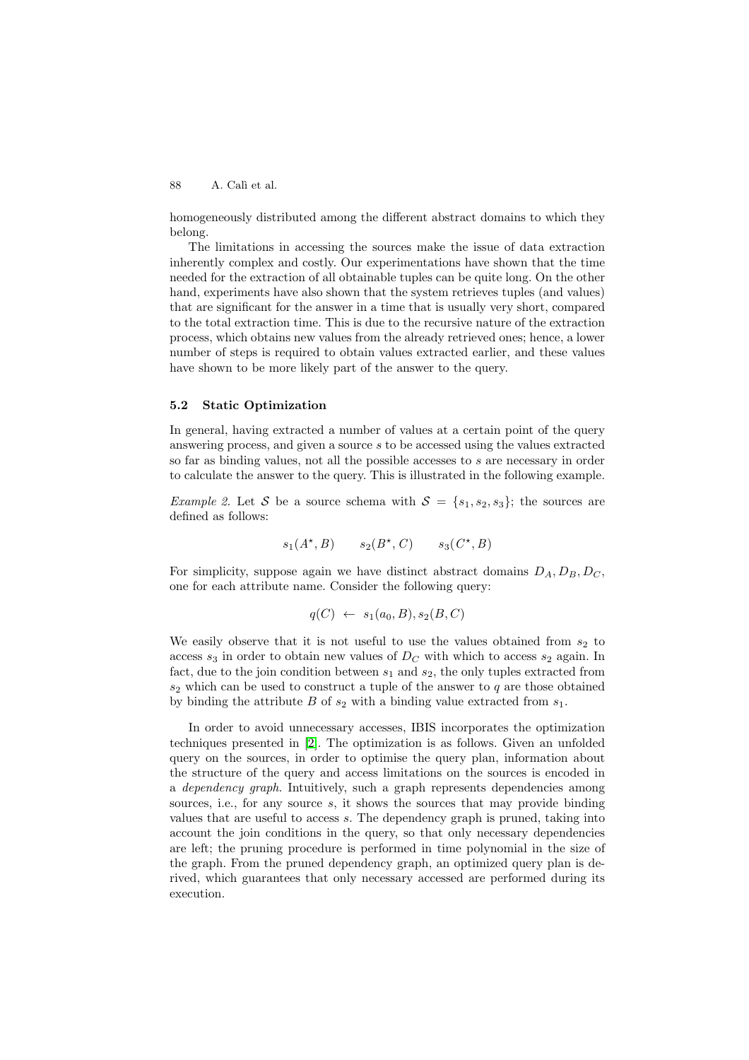homogeneously distributed among the different abstract domains to which they belong.

The limitations in accessing the sources make the issue of data extraction inherently complex and costly. Our experimentations have shown that the time needed for the extraction of all obtainable tuples can be quite long. On the other hand, experiments have also shown that the system retrieves tuples (and values) that are significant for the answer in a time that is usually very short, compared to the total extraction time. This is due to the recursive nature of the extraction process, which obtains new values from the already retrieved ones; hence, a lower number of steps is required to obtain values extracted earlier, and these values have shown to be more likely part of the answer to the query.

#### $5.2$ **5.2 Static Optimization**

In general, having extracted a number of values at a certain point of the query answering process, and given a source s to be accessed using the values extracted so far as binding values, not all the possible accesses to s are necessary in order to calculate the answer to the query. This is illustrated in the following example.

*Example 2.* Let S be a source schema with  $S = \{s_1, s_2, s_3\}$ ; the sources are defined as follows:

$$
s_1(A^\star, B) \qquad s_2(B^\star, C) \qquad s_3(C^\star, B)
$$

For simplicity, suppose again we have distinct abstract domains  $D_A$ ,  $D_B$ ,  $D_C$ , one for each attribute name. Consider the following query:

$$
q(C) \ \leftarrow \ s_1(a_0, B), s_2(B, C)
$$

We easily observe that it is not useful to use the values obtained from  $s_2$  to access  $s_3$  in order to obtain new values of  $D<sub>C</sub>$  with which to access  $s_2$  again. In fact, due to the join condition between  $s_1$  and  $s_2$ , the only tuples extracted from  $s_2$  which can be used to construct a tuple of the answer to q are those obtained by binding the attribute B of  $s_2$  with a binding value extracted from  $s_1$ .

In order to avoid unnecessary accesses, IBIS incorporates the optimization techniques presented in [\[2\]](#page-14-0). The optimization is as follows. Given an unfolded query on the sources, in order to optimise the query plan, information about the structure of the query and access limitations on the sources is encoded in a *dependency graph*. Intuitively, such a graph represents dependencies among sources, i.e., for any source s, it shows the sources that may provide binding values that are useful to access s. The dependency graph is pruned, taking into account the join conditions in the query, so that only necessary dependencies are left; the pruning procedure is performed in time polynomial in the size of the graph. From the pruned dependency graph, an optimized query plan is derived, which guarantees that only necessary accessed are performed during its execution.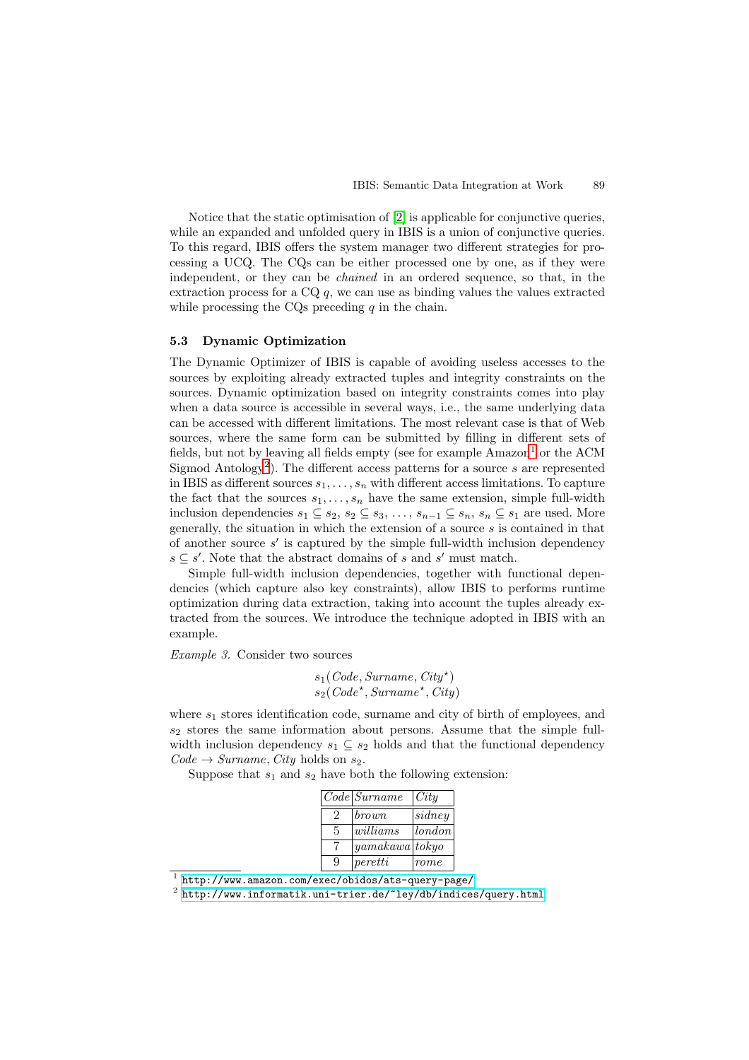Notice that the static optimisation of [\[2\]](#page-14-0) is applicable for conjunctive queries, while an expanded and unfolded query in IBIS is a union of conjunctive queries. To this regard, IBIS offers the system manager two different strategies for processing a UCQ. The CQs can be either processed one by one, as if they were independent, or they can be *chained* in an ordered sequence, so that, in the extraction process for a  $CQ$   $q$ , we can use as binding values the values extracted while processing the CQs preceding  $q$  in the chain.

# **5.3 Dynamic Optimization**

The Dynamic Optimizer of IBIS is capable of avoiding useless accesses to the sources by exploiting already extracted tuples and integrity constraints on the sources. Dynamic optimization based on integrity constraints comes into play when a data source is accessible in several ways, i.e., the same underlying data can be accessed with different limitations. The most relevant case is that of Web sources, where the same form can be submitted by filling in different sets of fields, but not by leaving all fields empty (see for example  $\rm{Amazon}^1$  or the ACM Sigmod Antology<sup>2</sup>). The different access patterns for a source  $s$  are represented in IBIS as different sources  $s_1, \ldots, s_n$  with different access limitations. To capture the fact that the sources  $s_1, \ldots, s_n$  have the same extension, simple full-width inclusion dependencies  $s_1 \subseteq s_2$ ,  $s_2 \subseteq s_3$ , ...,  $s_{n-1} \subseteq s_n$ ,  $s_n \subseteq s_1$  are used. More generally, the situation in which the extension of a source s is contained in that of another source  $s'$  is captured by the simple full-width inclusion dependency  $s \subseteq s'$ . Note that the abstract domains of s and s' must match.

Simple full-width inclusion dependencies, together with functional dependencies (which capture also key constraints), allow IBIS to performs runtime optimization during data extraction, taking into account the tuples already extracted from the sources. We introduce the technique adopted in IBIS with an example.

*Example 3.* Consider two sources

 $s_1(Code, Surname, City^*)$  $s_2(Code^{\star}, Sumame^{\star}, City)$ 

where  $s_1$  stores identification code, surname and city of birth of employees, and  $s<sub>2</sub>$  stores the same information about persons. Assume that the simple fullwidth inclusion dependency  $s_1 \subseteq s_2$  holds and that the functional dependency  $Code \rightarrow Surname, City holds on s_2.$ 

Suppose that  $s_1$  and  $s_2$  have both the following extension:

|   | Code Surname     | City           |
|---|------------------|----------------|
| 2 | brown            | sidney         |
| 5 | williams         | $ $ london $ $ |
|   | yamakawa tokyo   |                |
| 9 | $ pertri\rangle$ | rome           |

 $1$  <http://www.amazon.com/exec/obidos/ats-query-page/><br> $2$  http://www.informatik.uni-trier.de/~ley/db/indices/query.html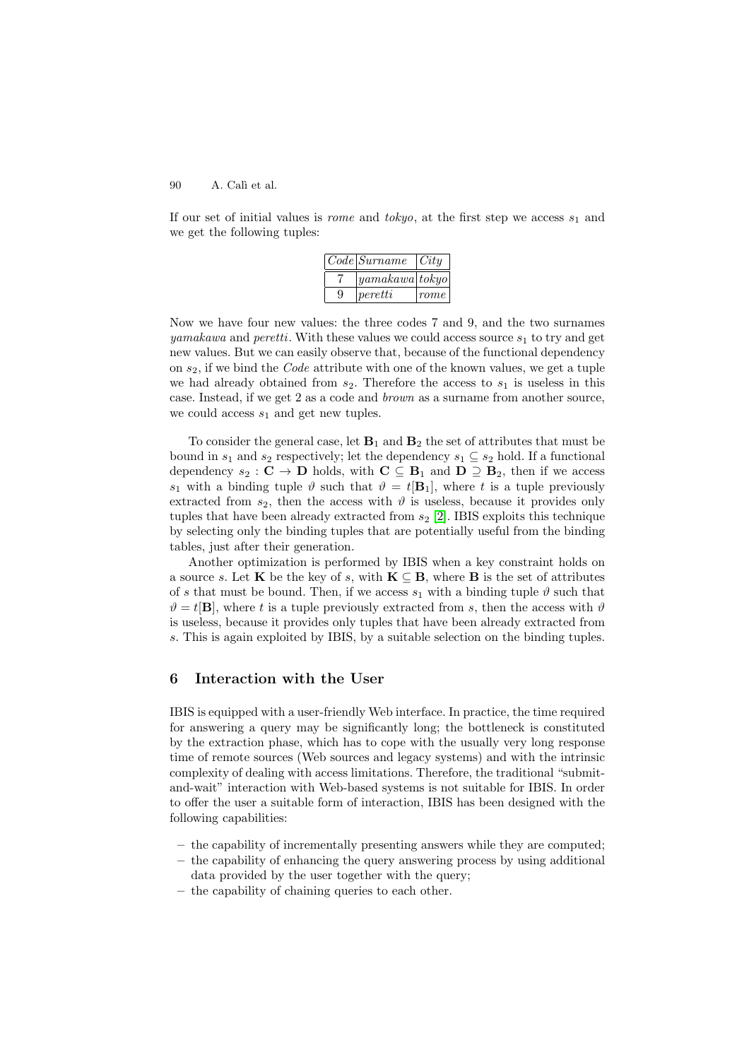<span id="page-11-0"></span>If our set of initial values is *rome* and *tokyo*, at the first step we access  $s<sub>1</sub>$  and we get the following tuples:

| $\lceil Code Surname\rceil$ | City |
|-----------------------------|------|
| yamakawa tokyo              |      |
| peretti                     | rome |

Now we have four new values: the three codes 7 and 9, and the two surnames *yamakawa* and *peretti*. With these values we could access source  $s_1$  to try and get new values. But we can easily observe that, because of the functional dependency on s2, if we bind the *Code* attribute with one of the known values, we get a tuple we had already obtained from  $s_2$ . Therefore the access to  $s_1$  is useless in this case. Instead, if we get 2 as a code and *brown* as a surname from another source, we could access  $s_1$  and get new tuples.

To consider the general case, let **<sup>B</sup>**<sup>1</sup> and **<sup>B</sup>**<sup>2</sup> the set of attributes that must be bound in  $s_1$  and  $s_2$  respectively; let the dependency  $s_1 \subseteq s_2$  hold. If a functional dependency  $s_2 : \mathbf{C} \to \mathbf{D}$  holds, with  $\mathbf{C} \subseteq \mathbf{B}_1$  and  $\mathbf{D} \supseteq \mathbf{B}_2$ , then if we access s<sub>1</sub> with a binding tuple  $\vartheta$  such that  $\vartheta = t[\mathbf{B}_1]$ , where t is a tuple previously extracted from  $s_2$ , then the access with  $\vartheta$  is useless, because it provides only tuples that have been already extracted from  $s_2$  [\[2\]](#page-14-0). IBIS exploits this technique by selecting only the binding tuples that are potentially useful from the binding tables, just after their generation.

Another optimization is performed by IBIS when a key constraint holds on a source s. Let **K** be the key of s, with  $\mathbf{K} \subseteq \mathbf{B}$ , where **B** is the set of attributes of s that must be bound. Then, if we access  $s_1$  with a binding tuple  $\vartheta$  such that  $\vartheta = t[\mathbf{B}]$ , where t is a tuple previously extracted from s, then the access with  $\vartheta$ is useless, because it provides only tuples that have been already extracted from s. This is again exploited by IBIS, by a suitable selection on the binding tuples.

### **6 Interaction with the User**

IBIS is equipped with a user-friendly Web interface. In practice, the time required for answering a query may be significantly long; the bottleneck is constituted by the extraction phase, which has to cope with the usually very long response time of remote sources (Web sources and legacy systems) and with the intrinsic complexity of dealing with access limitations. Therefore, the traditional "submitand-wait" interaction with Web-based systems is not suitable for IBIS. In order to offer the user a suitable form of interaction, IBIS has been designed with the following capabilities:

- **–** the capability of incrementally presenting answers while they are computed;
- **–** the capability of enhancing the query answering process by using additional data provided by the user together with the query;
- **–** the capability of chaining queries to each other.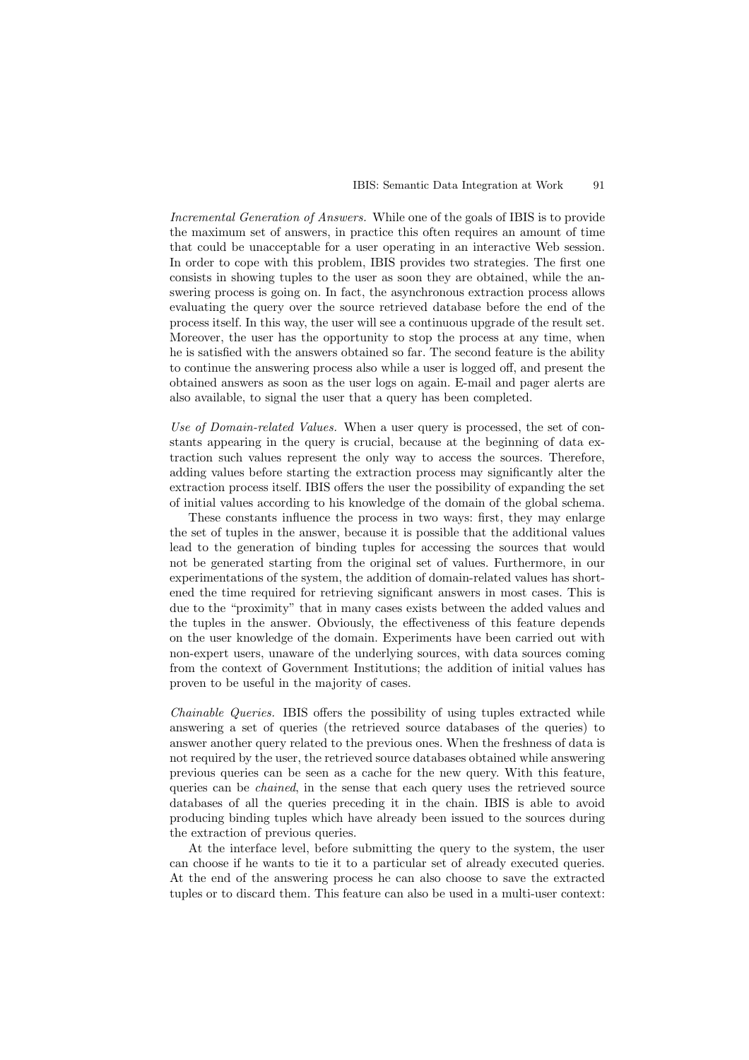*Incremental Generation of Answers.* While one of the goals of IBIS is to provide the maximum set of answers, in practice this often requires an amount of time that could be unacceptable for a user operating in an interactive Web session. In order to cope with this problem, IBIS provides two strategies. The first one consists in showing tuples to the user as soon they are obtained, while the answering process is going on. In fact, the asynchronous extraction process allows evaluating the query over the source retrieved database before the end of the process itself. In this way, the user will see a continuous upgrade of the result set. Moreover, the user has the opportunity to stop the process at any time, when he is satisfied with the answers obtained so far. The second feature is the ability to continue the answering process also while a user is logged off, and present the obtained answers as soon as the user logs on again. E-mail and pager alerts are also available, to signal the user that a query has been completed.

*Use of Domain-related Values.* When a user query is processed, the set of constants appearing in the query is crucial, because at the beginning of data extraction such values represent the only way to access the sources. Therefore, adding values before starting the extraction process may significantly alter the extraction process itself. IBIS offers the user the possibility of expanding the set of initial values according to his knowledge of the domain of the global schema.

These constants influence the process in two ways: first, they may enlarge the set of tuples in the answer, because it is possible that the additional values lead to the generation of binding tuples for accessing the sources that would not be generated starting from the original set of values. Furthermore, in our experimentations of the system, the addition of domain-related values has shortened the time required for retrieving significant answers in most cases. This is due to the "proximity" that in many cases exists between the added values and the tuples in the answer. Obviously, the effectiveness of this feature depends on the user knowledge of the domain. Experiments have been carried out with non-expert users, unaware of the underlying sources, with data sources coming from the context of Government Institutions; the addition of initial values has proven to be useful in the majority of cases.

*Chainable Queries.* IBIS offers the possibility of using tuples extracted while answering a set of queries (the retrieved source databases of the queries) to answer another query related to the previous ones. When the freshness of data is not required by the user, the retrieved source databases obtained while answering previous queries can be seen as a cache for the new query. With this feature, queries can be *chained*, in the sense that each query uses the retrieved source databases of all the queries preceding it in the chain. IBIS is able to avoid producing binding tuples which have already been issued to the sources during the extraction of previous queries.

At the interface level, before submitting the query to the system, the user can choose if he wants to tie it to a particular set of already executed queries. At the end of the answering process he can also choose to save the extracted tuples or to discard them. This feature can also be used in a multi-user context: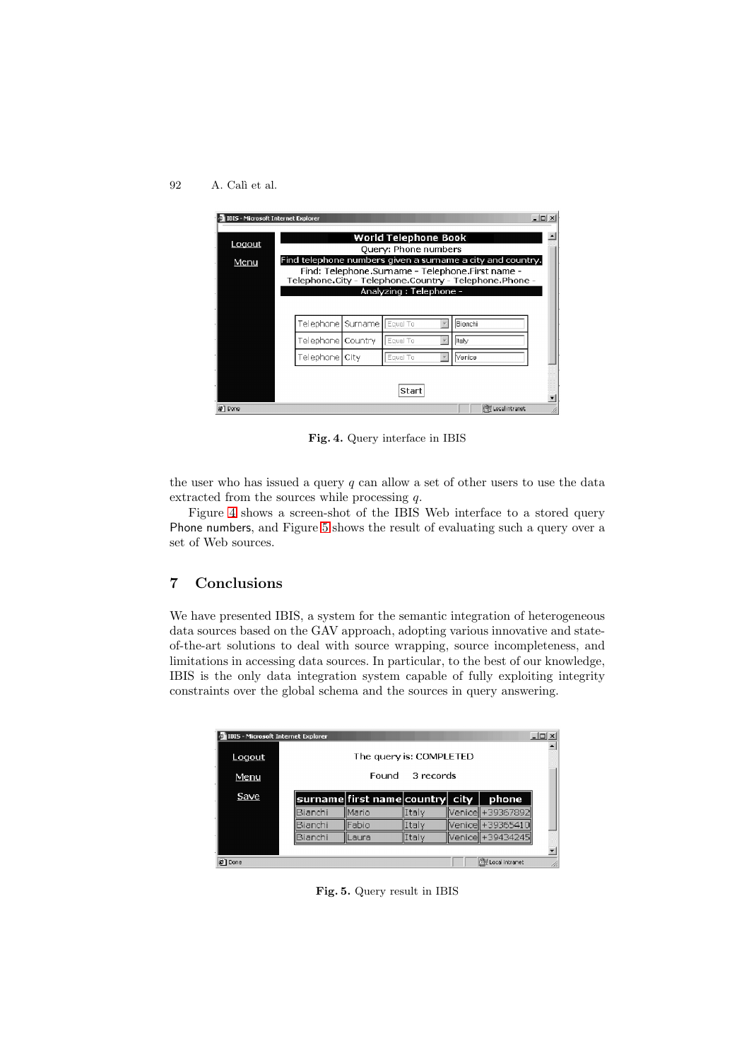|          | <b>IBIS - Microsoft Internet Explorer</b>                                                                                                                                                          |  |          |  |                  | $  \approx$ |
|----------|----------------------------------------------------------------------------------------------------------------------------------------------------------------------------------------------------|--|----------|--|------------------|-------------|
| Logout   | World Telephone Book<br>Ouerv: Phone numbers                                                                                                                                                       |  |          |  |                  |             |
| Menu     | Find telephone numbers given a surname a city and country.<br>Find: Telephone.Surname - Telephone.First name -<br>Telephone.City - Telephone.Country - Telephone.Phone -<br>Analyzing: Telephone - |  |          |  |                  |             |
|          | Telephone   Surname                                                                                                                                                                                |  | Equal To |  | Bianchi          |             |
|          | "elephone   Country                                                                                                                                                                                |  | Equal To |  | ltaly            |             |
|          | Telephone <b>  C</b> ity                                                                                                                                                                           |  | Equal To |  | Venice           |             |
| @#1 Done |                                                                                                                                                                                                    |  | Start    |  | 图 Local intranet |             |

**Fig. 4.** Query interface in IBIS

the user who has issued a query  $q$  can allow a set of other users to use the data extracted from the sources while processing q.

Figure 4 shows a screen-shot of the IBIS Web interface to a stored query Phone numbers, and Figure 5 shows the result of evaluating such a query over a set of Web sources.

## **7 Conclusions**

We have presented IBIS, a system for the semantic integration of heterogeneous data sources based on the GAV approach, adopting various innovative and stateof-the-art solutions to deal with source wrapping, source incompleteness, and limitations in accessing data sources. In particular, to the best of our knowledge, IBIS is the only data integration system capable of fully exploiting integrity constraints over the global schema and the sources in query answering.

| IBIS - Microsoft Internet Explorer |          |                            |           |      |                   | $ \Box$ $\times$ |
|------------------------------------|----------|----------------------------|-----------|------|-------------------|------------------|
| Logout                             |          | The query is: COMPLETED    |           |      |                   |                  |
| Menu                               |          | Found                      | 3 records |      |                   |                  |
| <u>Save</u>                        |          | surname first name country |           | city | phone             |                  |
|                                    | IBianchi | lMario                     | Italy     |      | Venice  +39367892 |                  |
|                                    | Bianchi  | <sup>=</sup> abio          | lItal v   |      | Venice  +39365410 |                  |
|                                    | Bianchi  | Laura                      | lItalv    |      | Venice  +39434245 |                  |
|                                    |          |                            |           |      |                   |                  |
| a <sup>2</sup> I Done              |          |                            |           |      | Local intranet    |                  |

**Fig. 5.** Query result in IBIS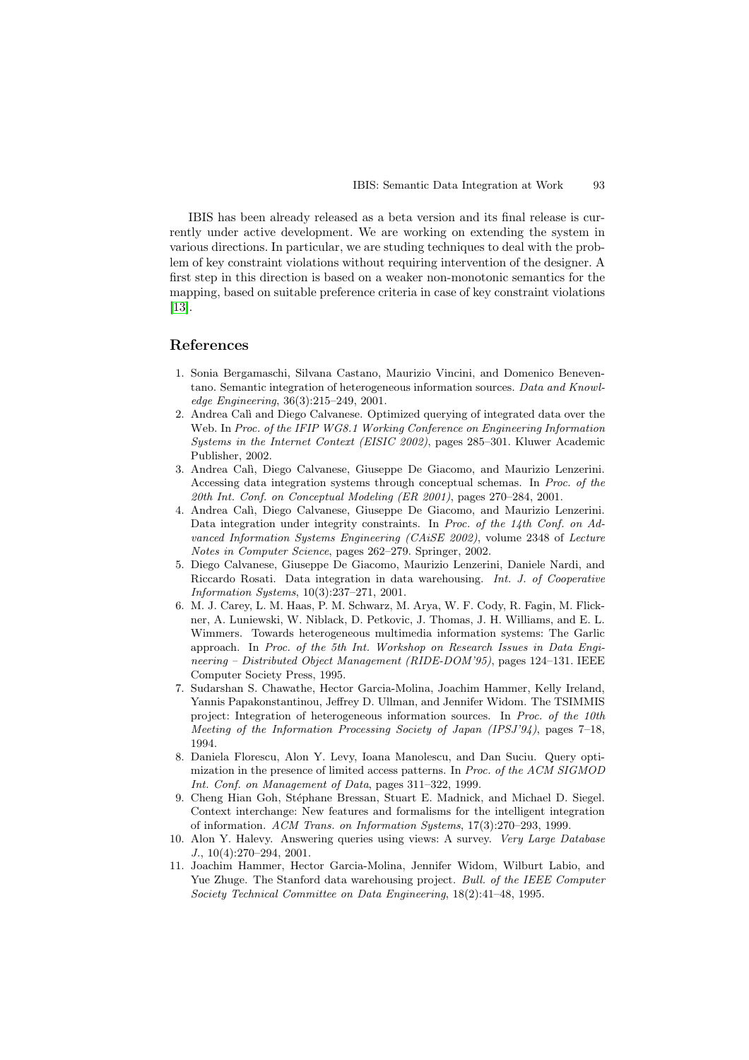<span id="page-14-0"></span>IBIS has been already released as a beta version and its final release is currently under active development. We are working on extending the system in various directions. In particular, we are studing techniques to deal with the problem of key constraint violations without requiring intervention of the designer. A first step in this direction is based on a weaker non-monotonic semantics for the mapping, based on suitable preference criteria in case of key constraint violations [\[13\]](#page-15-0).

#### **References**

- 1. Sonia Bergamaschi, Silvana Castano, Maurizio Vincini, and Domenico Beneventano. Semantic integration of heterogeneous information sources. Data and Knowledge Engineering, 36(3):215–249, 2001.
- 2. Andrea Cal`ı and Diego Calvanese. Optimized querying of integrated data over the Web. In Proc. of the IFIP WG8.1 Working Conference on Engineering Information Systems in the Internet Context (EISIC 2002), pages 285–301. Kluwer Academic Publisher, 2002.
- 3. Andrea Cal`ı, Diego Calvanese, Giuseppe De Giacomo, and Maurizio Lenzerini. Accessing data integration systems through conceptual schemas. In Proc. of the 20th Int. Conf. on Conceptual Modeling (ER 2001), pages 270–284, 2001.
- 4. Andrea Cal`ı, Diego Calvanese, Giuseppe De Giacomo, and Maurizio Lenzerini. Data integration under integrity constraints. In Proc. of the 14th Conf. on Advanced Information Systems Engineering (CAiSE 2002), volume 2348 of Lecture Notes in Computer Science, pages 262–279. Springer, 2002.
- 5. Diego Calvanese, Giuseppe De Giacomo, Maurizio Lenzerini, Daniele Nardi, and Riccardo Rosati. Data integration in data warehousing. Int. J. of Cooperative Information Systems, 10(3):237–271, 2001.
- 6. M. J. Carey, L. M. Haas, P. M. Schwarz, M. Arya, W. F. Cody, R. Fagin, M. Flickner, A. Luniewski, W. Niblack, D. Petkovic, J. Thomas, J. H. Williams, and E. L. Wimmers. Towards heterogeneous multimedia information systems: The Garlic approach. In Proc. of the 5th Int. Workshop on Research Issues in Data Engineering – Distributed Object Management (RIDE-DOM'95), pages 124–131. IEEE Computer Society Press, 1995.
- 7. Sudarshan S. Chawathe, Hector Garcia-Molina, Joachim Hammer, Kelly Ireland, Yannis Papakonstantinou, Jeffrey D. Ullman, and Jennifer Widom. The TSIMMIS project: Integration of heterogeneous information sources. In Proc. of the 10th Meeting of the Information Processing Society of Japan (IPSJ'94), pages  $7-18$ , 1994.
- 8. Daniela Florescu, Alon Y. Levy, Ioana Manolescu, and Dan Suciu. Query optimization in the presence of limited access patterns. In Proc. of the ACM SIGMOD Int. Conf. on Management of Data, pages 311–322, 1999.
- 9. Cheng Hian Goh, Stéphane Bressan, Stuart E. Madnick, and Michael D. Siegel. Context interchange: New features and formalisms for the intelligent integration of information. ACM Trans. on Information Systems, 17(3):270–293, 1999.
- 10. Alon Y. Halevy. Answering queries using views: A survey. Very Large Database J., 10(4):270–294, 2001.
- 11. Joachim Hammer, Hector Garcia-Molina, Jennifer Widom, Wilburt Labio, and Yue Zhuge. The Stanford data warehousing project. Bull. of the IEEE Computer Society Technical Committee on Data Engineering, 18(2):41–48, 1995.